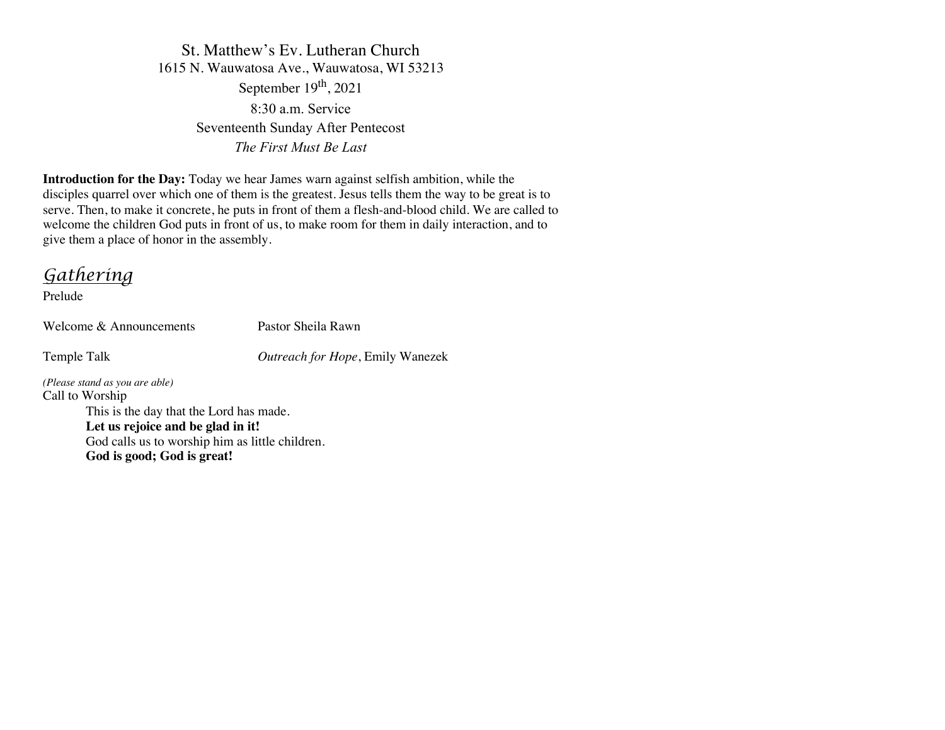St. Matthew's Ev. Lutheran Church 1615 N. Wauwatosa Ave., Wauwatosa, WI 53213 September  $19<sup>th</sup>$ , 2021 8:30 a.m. Service Seventeenth Sunday After Pentecost *The First Must Be Last*

**Introduction for the Day:** Today we hear James warn against selfish ambition, while the disciples quarrel over which one of them is the greatest. Jesus tells them the way to be great is to serve. Then, to make it concrete, he puts in front of them a flesh-and-blood child. We are called to welcome the children God puts in front of us, to make room for them in daily interaction, and to give them a place of honor in the assembly.

*Gathering*

Prelude

Welcome & Announcements Pastor Sheila Rawn

Temple Talk *Outreach for Hope*, Emily Wanezek

*(Please stand as you are able)* Call to Worship This is the day that the Lord has made. **Let us rejoice and be glad in it!** God calls us to worship him as little children. **God is good; God is great!**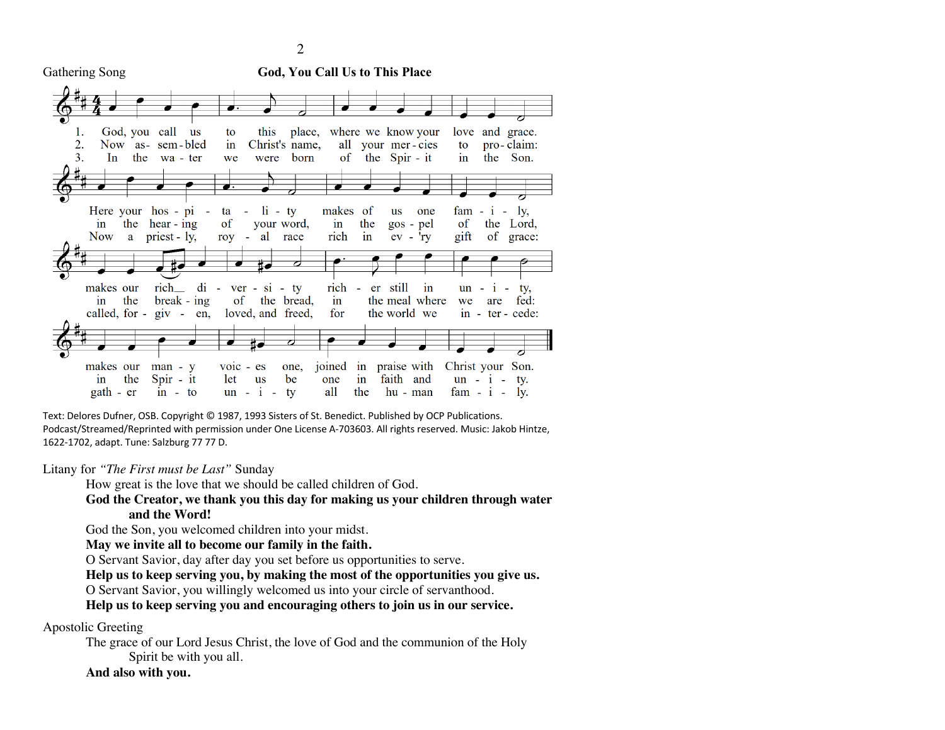Gathering Song **God, You Call Us to This Place**



Text: Delores Dufner, OSB. Copyright © 1987, 1993 Sisters of St. Benedict. Published by OCP Publications. Podcast/Streamed/Reprinted with permission under One License A-703603. All rights reserved. Music: Jakob Hintze, 1622-1702, adapt. Tune: Salzburg 77 77 D.

Litany for *"The First must be Last"* Sunday

How great is the love that we should be called children of God.

**God the Creator, we thank you this day for making us your children through water and the Word!**

God the Son, you welcomed children into your midst.

**May we invite all to become our family in the faith.**

O Servant Savior, day after day you set before us opportunities to serve.

**Help us to keep serving you, by making the most of the opportunities you give us.**

O Servant Savior, you willingly welcomed us into your circle of servanthood.

**Help us to keep serving you and encouraging others to join us in our service.**

Apostolic Greeting

The grace of our Lord Jesus Christ, the love of God and the communion of the Holy Spirit be with you all.

**And also with you.**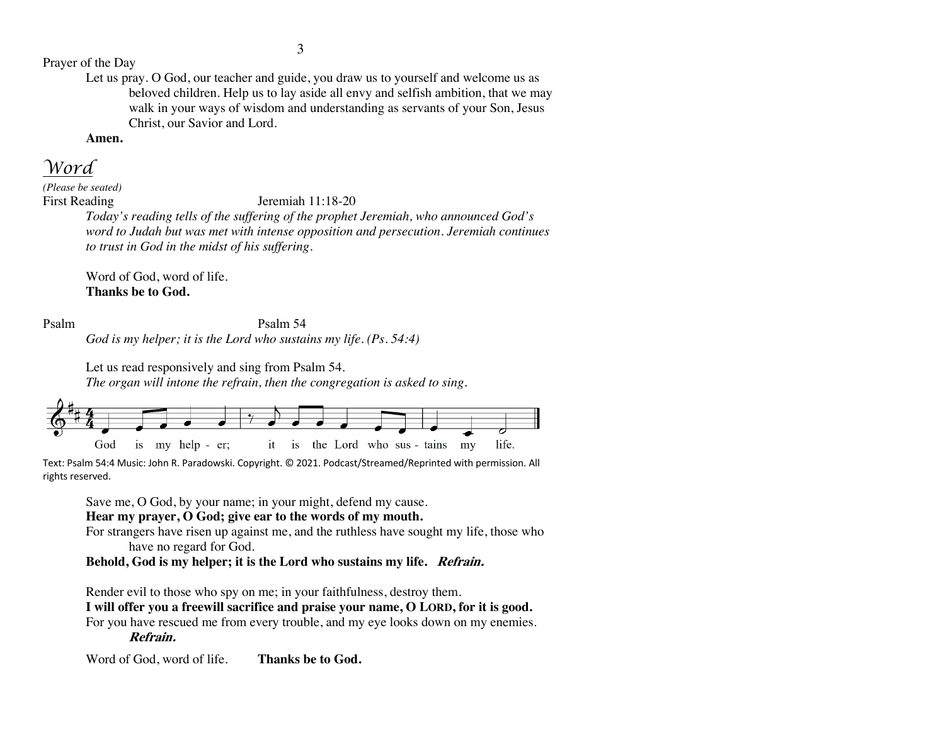Prayer of the Day

Let us pray. O God, our teacher and guide, you draw us to yourself and welcome us as beloved children. Help us to lay aside all envy and selfish ambition, that we may walk in your ways of wisdom and understanding as servants of your Son, Jesus Christ, our Savior and Lord.

**Amen.**

*Word*

*(Please be seated)*

First Reading Jeremiah 11:18-20

*Today's reading tells of the suffering of the prophet Jeremiah, who announced God's word to Judah but was met with intense opposition and persecution. Jeremiah continues to trust in God in the midst of his suffering.*

Word of God, word of life. **Thanks be to God.**

Psalm Psalm 54 *God is my helper; it is the Lord who sustains my life. (Ps. 54:4)*

> Let us read responsively and sing from Psalm 54. *The organ will intone the refrain, then the congregation is asked to sing.*



Text: Psalm 54:4 Music: John R. Paradowski. Copyright. © 2021. Podcast/Streamed/Reprinted with permission. All rights reserved.

Save me, O God, by your name; in your might, defend my cause.

**Hear my prayer, O God; give ear to the words of my mouth.** 

For strangers have risen up against me, and the ruthless have sought my life, those who have no regard for God.

**Behold, God is my helper; it is the Lord who sustains my life. Refrain.**

Render evil to those who spy on me; in your faithfulness, destroy them.

**I will offer you a freewill sacrifice and praise your name, O LORD, for it is good.**  For you have rescued me from every trouble, and my eye looks down on my enemies. **Refrain.**

Word of God, word of life. **Thanks be to God.**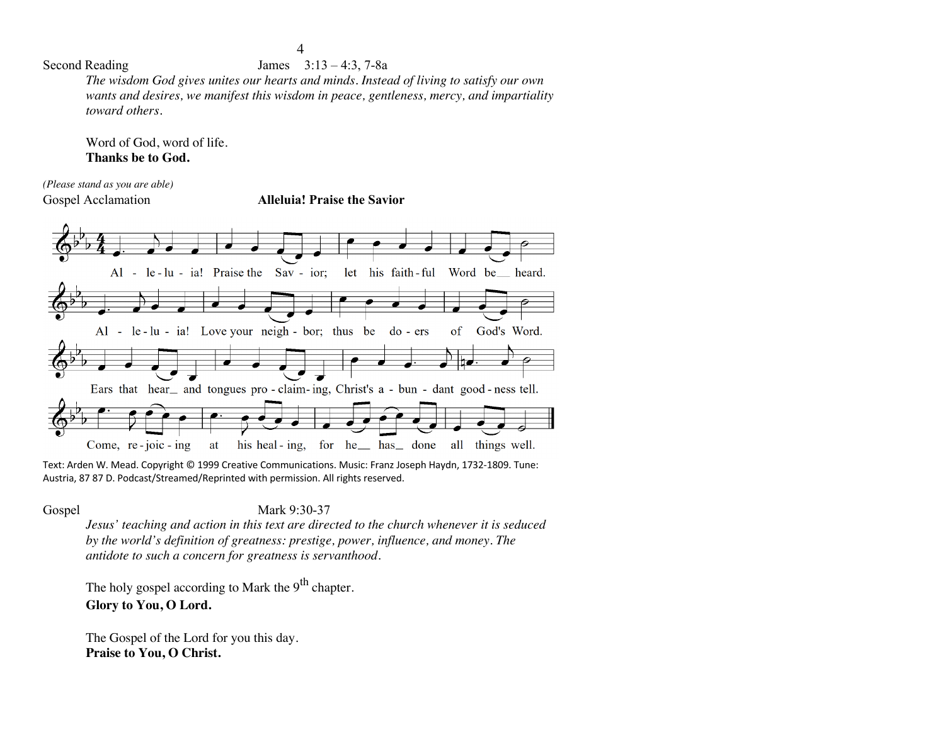### Second Reading James  $3:13-4:3, 7-8a$

*The wisdom God gives unites our hearts and minds. Instead of living to satisfy our own wants and desires, we manifest this wisdom in peace, gentleness, mercy, and impartiality toward others.*

Word of God, word of life. **Thanks be to God.**

*(Please stand as you are able)*

Gospel Acclamation **Alleluia! Praise the Savior**



Text: Arden W. Mead. Copyright © 1999 Creative Communications. Music: Franz Joseph Haydn, 1732-1809. Tune: Austria, 87 87 D. Podcast/Streamed/Reprinted with permission. All rights reserved.

Gospel Mark 9:30-37

*Jesus' teaching and action in this text are directed to the church whenever it is seduced by the world's definition of greatness: prestige, power, influence, and money. The antidote to such a concern for greatness is servanthood.*

The holy gospel according to Mark the  $9<sup>th</sup>$  chapter. **Glory to You, O Lord.**

The Gospel of the Lord for you this day. **Praise to You, O Christ.**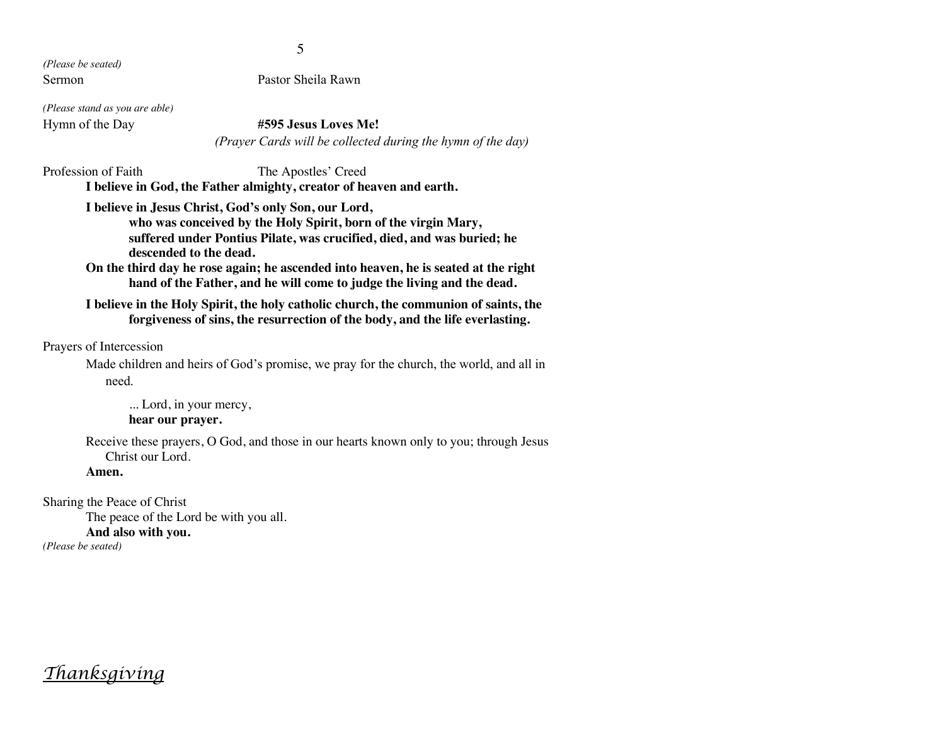*(Please be seated)* Sermon Pastor Sheila Rawn

*(Please stand as you are able)*

#### Hymn of the Day **#595 Jesus Loves Me!**

*(Prayer Cards will be collected during the hymn of the day)*

Profession of Faith The Apostles' Creed **I believe in God, the Father almighty, creator of heaven and earth. I believe in Jesus Christ, God's only Son, our Lord, who was conceived by the Holy Spirit, born of the virgin Mary, suffered under Pontius Pilate, was crucified, died, and was buried; he descended to the dead.**

**On the third day he rose again; he ascended into heaven, he is seated at the right hand of the Father, and he will come to judge the living and the dead.**

**I believe in the Holy Spirit, the holy catholic church, the communion of saints, the forgiveness of sins, the resurrection of the body, and the life everlasting.**

Prayers of Intercession

Made children and heirs of God's promise, we pray for the church, the world, and all in need.

... Lord, in your mercy, **hear our prayer.**

Receive these prayers, O God, and those in our hearts known only to you; through Jesus Christ our Lord.

**Amen.**

Sharing the Peace of Christ The peace of the Lord be with you all. **And also with you.** *(Please be seated)*

*Thanksgiving*

5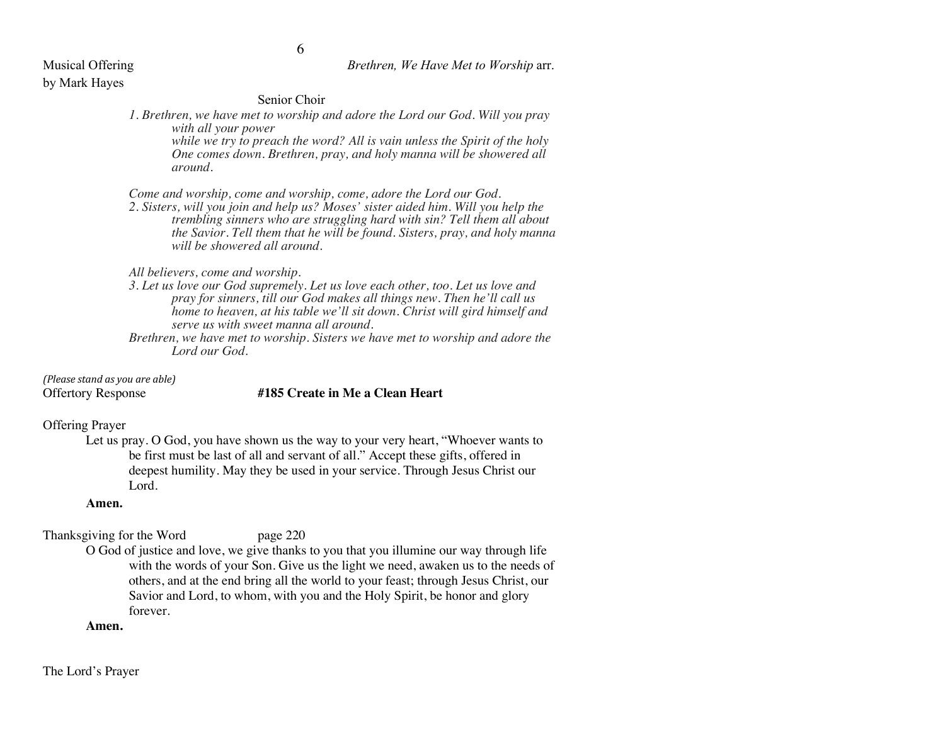#### Musical Offering *Brethren, We Have Met to Worship* arr.

# by Mark Hayes

#### Senior Choir

*1. Brethren, we have met to worship and adore the Lord our God. Will you pray with all your power while we try to preach the word? All is vain unless the Spirit of the holy One comes down. Brethren, pray, and holy manna will be showered all around.*

*Come and worship, come and worship, come, adore the Lord our God.*

*2. Sisters, will you join and help us? Moses' sister aided him. Will you help the trembling sinners who are struggling hard with sin? Tell them all about the Savior. Tell them that he will be found. Sisters, pray, and holy manna will be showered all around.*

*All believers, come and worship.*

- *3. Let us love our God supremely. Let us love each other, too. Let us love and pray for sinners, till our God makes all things new. Then he'll call us home to heaven, at his table we'll sit down. Christ will gird himself and serve us with sweet manna all around.*
- *Brethren, we have met to worship. Sisters we have met to worship and adore the Lord our God.*

*(Please stand as you are able)*

### Offertory Response **#185 Create in Me a Clean Heart**

#### Offering Prayer

Let us pray. O God, you have shown us the way to your very heart, "Whoever wants to be first must be last of all and servant of all." Accept these gifts, offered in deepest humility. May they be used in your service. Through Jesus Christ our Lord.

#### **Amen.**

Thanksgiving for the Word page 220

O God of justice and love, we give thanks to you that you illumine our way through life with the words of your Son. Give us the light we need, awaken us to the needs of others, and at the end bring all the world to your feast; through Jesus Christ, our Savior and Lord, to whom, with you and the Holy Spirit, be honor and glory forever.

#### **Amen.**

The Lord's Prayer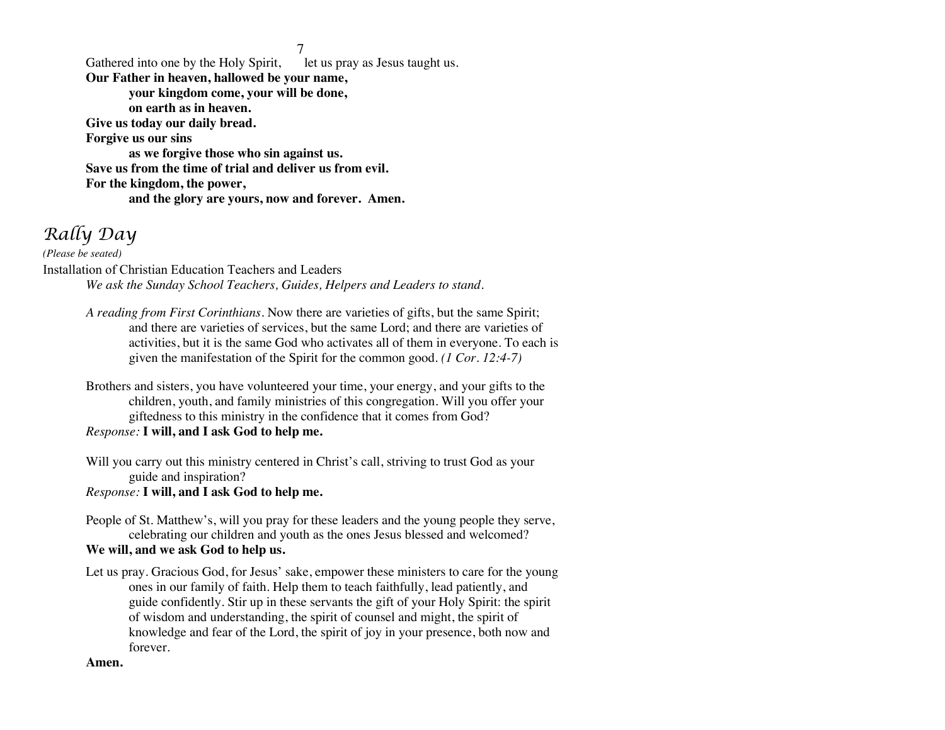7<br>let us pray as Jesus taught us. Gathered into one by the Holy Spirit, **Our Father in heaven, hallowed be your name, your kingdom come, your will be done, on earth as in heaven. Give us today our daily bread. Forgive us our sins as we forgive those who sin against us. Save us from the time of trial and deliver us from evil. For the kingdom, the power, and the glory are yours, now and forever. Amen.**

## *Rally Day*

*(Please be seated)* Installation of Christian Education Teachers and Leaders *We ask the Sunday School Teachers, Guides, Helpers and Leaders to stand.* 

- *A reading from First Corinthians.* Now there are varieties of gifts, but the same Spirit; and there are varieties of services, but the same Lord; and there are varieties of activities, but it is the same God who activates all of them in everyone. To each is given the manifestation of the Spirit for the common good. *(1 Cor. 12:4-7)*
- Brothers and sisters, you have volunteered your time, your energy, and your gifts to the children, youth, and family ministries of this congregation. Will you offer your giftedness to this ministry in the confidence that it comes from God? *Response:* **I will, and I ask God to help me.**
- Will you carry out this ministry centered in Christ's call, striving to trust God as your guide and inspiration?
- *Response:* **I will, and I ask God to help me.**
- People of St. Matthew's, will you pray for these leaders and the young people they serve, celebrating our children and youth as the ones Jesus blessed and welcomed? **We will, and we ask God to help us.**
- Let us pray. Gracious God, for Jesus' sake, empower these ministers to care for the young ones in our family of faith. Help them to teach faithfully, lead patiently, and guide confidently. Stir up in these servants the gift of your Holy Spirit: the spirit of wisdom and understanding, the spirit of counsel and might, the spirit of knowledge and fear of the Lord, the spirit of joy in your presence, both now and forever.

#### **Amen.**